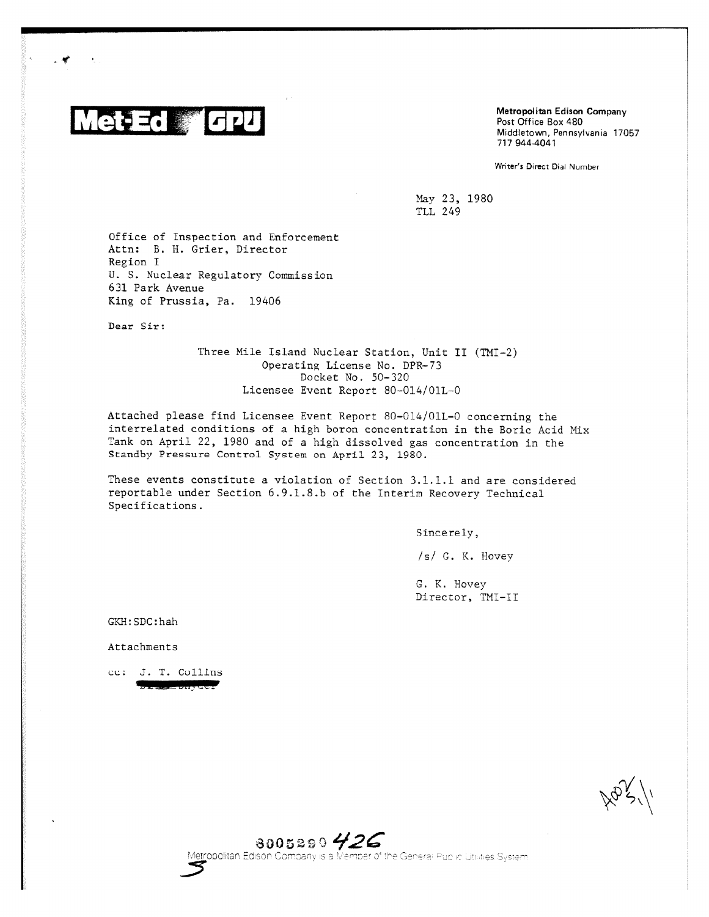

- 4

Metropolitan Edison Company Post Office Box 480 Middletown, Pennsylvania 17057 717 944-4041

Writer's Direct Dial Number

May 23, 1980 TLL 249

Office of Inspection and Enforcement Attn: B. H. Grier, Director Region I U. S. Nuclear Regulatory Commission 631 Park Avenue King of Prussia, Pa. 19406

Dear Sir:

Three Mile Island Nuclear Station, Unit II (TMI-2) Operating License No. DPR-73 Docket No. 50-320 Licensee Event Report 80-014/01L-0

Attached please find Licensee Event Report 80-014/01L-0 concerning the interrelated conditions of a high boron concentration in the Boric Acid Mix Tank on April 22, 1980 and of a high dissolved gas concentration in the Standby Pressure Control System on April 23, 1980.

These events constitute a violation of Section 3.1.1.1 and are considered reportable under Section 6.9.1.8.b of the Interim Recovery Technical Specifications.

Sincerely,

/s/ G. K. Hovey

G. K. Hovey Director, TMI-II

GKR:SDC:hah

Attachments

cc: J. T. Collins

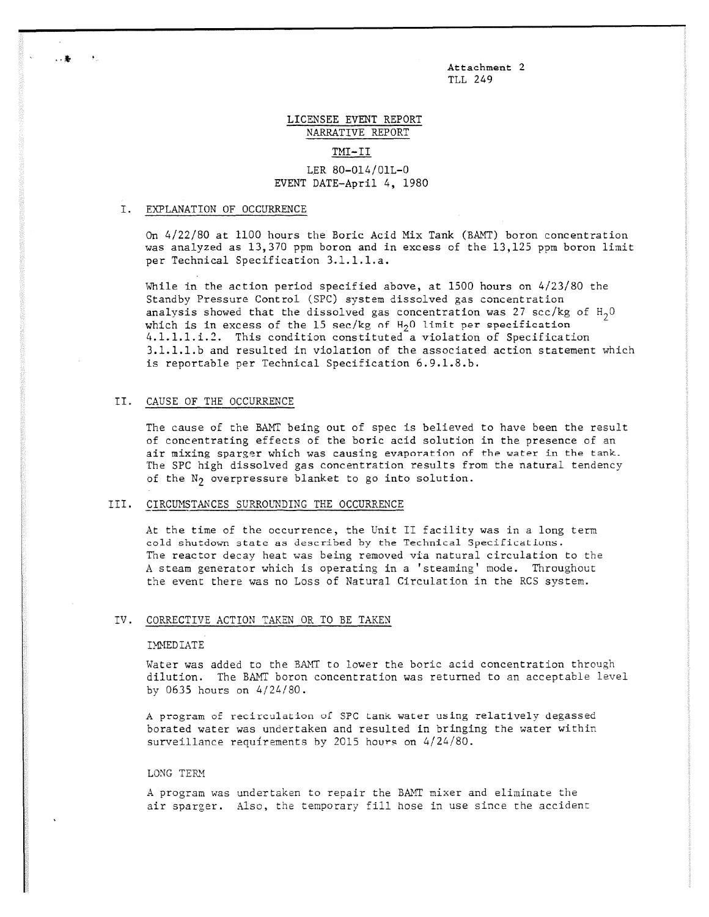Attachment 2 TLL 249

# LICENSEE EVENT REPORT NARRATIVE REPORT TMI-II

# LER 80-014/01L-0 EVENT DATE-April 4, 1980

## I. EXPLANATION OF OCCURRENCE

\*

On 4/22/80 at 1100 hours the Boric Acid Mix Tank (BAMT) boron concentration was analyzed as 13,370 ppm boron and in excess of the 13,125 ppm boron limit per Technical Specification 3.1.1.1.a.

While in the action period specified above, at 1500 hours on 4/23/80 the Standby Pressure Control (SPC) system dissolved gas concentration analysis showed that the dissolved gas concentration was 27 scc/kg of  $H_2O$ which is in excess of the 15 sec/kg of  $H_2$ 0 limit per specification 4.1.1.1.i.2. This condition constituted a violation of Specification 3.1.1.1.b and resulted in violation of the associated action statement which is reportable per Technical Specification 6.9.1.8.b.

#### II. CAUSE OF THE OCCURRENCE

The cause of the BAMT being out of spec is believed to have been the result of concentrating effects of the boric acid solution in the presence of an air mixing sparger which was causing evaporation of the water in the tank. The SPC high dissolved gas concentration results from the natural tendency of the  $N_2$  overpressure blanket to go into solution.

#### III. CIRCUMSTANCES SURROUNDING THE OCCURRENCE

At the time of the occurrence, the Unit II facility was in a long term cold shutdown state as described by the Technical Specifications. The reactor decay heat was being removed via natural circulation to the A steam generator which is operating in a 'steaming' mode. Throughout the event there was no Loss of Natural Circulation in the RCS system.

#### IV. CORRECTIVE ACTION TAKEN OR TO BE TAKEN

#### IMMEDIATE

Water was added to the RANT to lower the boric acid concentration through dilution. The BAMT boron concentration was returned to an acceptable level by 0635 hours on 4/24/80.

A program of recirculatiou of SPC tank water using relatively degassed borated water was undertaken and resulted in bringing the water within surveillance requirements by 2015 hours on 4/24/80.

#### LONG TERM

A program was undertaken to repair the BAMT mixer and eliminate the air sparger. Also, the temporary fill hose in use since the accident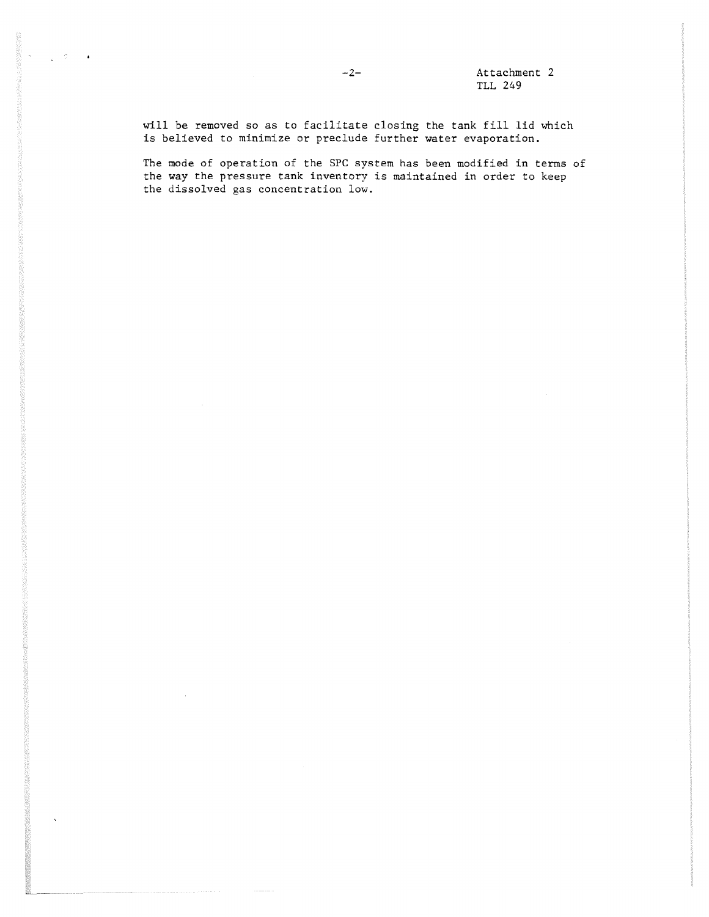will be removed so as to facilitate closing the tank fill lid which is believed to minimize or preclude further water evaporation.

The mode of operation of the SPC system has been modified in terms of the way the pressure tank inventory is maintained in order to keep the dissolved gas concentration low.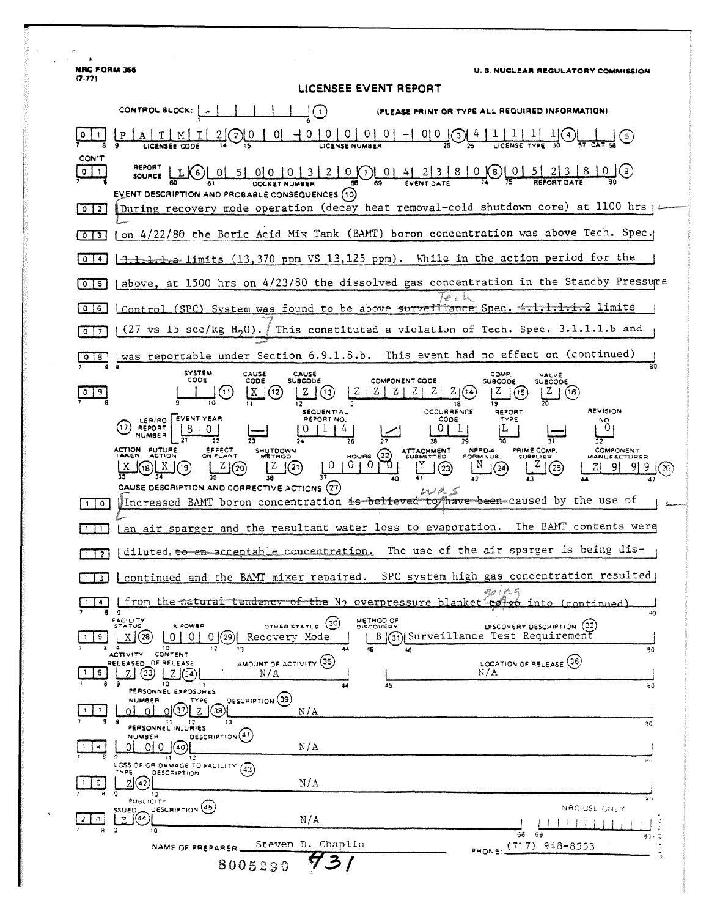**NRC FORM 355** U. S. NUCLEAR REGULATORY COMMISSION  $(7.77)$ LICENSEE EVENT REPORT (PLEASE PRINT OR TYPE ALL REQUIRED INFORMATION)  $2/2$  0  $1$  0  $1$  0  $0$  0  $1$  0  $1$  0  $1$  0  $1$  0  $1$   $0$   $1$   $0$   $1$   $0$   $1$   $0$   $1$   $0$   $1$   $0$   $1$   $0$   $1$   $0$   $1$   $0$   $1$   $0$   $1$   $0$   $1$   $0$   $1$   $0$   $1$   $0$   $1$   $0$   $1$   $0$   $1$   $0$   $1$   $0$   $1$   $0$   $1$   $0$   $1$   $0$   $1$ G) <u>ليد</u>  $A$   $T$   $M$ I **ICENSEE CODE** CON'T REPORT  $_{5}$  L)G) (01 51 010 10 13 1 2 1 0  $\odot$  01  $\frac{41}{5}$  213 1 8 1 0  $\sqrt{3}$   $\sqrt{6}$  01 51 213 1 8 1 0  $\sqrt{9}$  $source$  $0$   $1$ EVENT DESCRIPTION AND PROBABLE CONSEQUENCES (10) [0] [During recovery mode operation (decay heat removal-cold shutdown core) at 1100 hrs | 4 [0][3] (on 4/22/80 the Boric Acid Mix Tank (BAMT) boron concentration was above Tech. Spec. 13.1.1.1. The limits (13,370 ppm VS 13,125 ppm). While in the action period for the  $\sqrt{0}$ (above, at 1500 hrs on 4/23/80 the dissolved gas concentration in the Standby Pressure  $0 \mid 5 \mid$ [0]6] Control (SPC) System was found to be above surveillance Spec. 4.1.1.1.1.2 limits  $(27 \text{ vs } 15 \text{ sec/kg H}_20).$ This constituted a violation of Tech. Spec. 3.1.1.1.b and  $\sqrt{27}$ O B [was reportable under Section 6.9.1.8.b. This event had no effect on (continued)  $80$ SYSTEM<br>CODE CAUSE CAUSE<br>SUBCOUE COMP VALVE CODE COMPONENT CODE **SUBCODE SUBCODE**  $Z(G)$  $X(2)$  $Z | Z | Z | Z |$  $\left( \Omega \right)$  $Z(3)$  $\boxed{Z}$  (15)  $\boxed{Z}$  (16)  $0$ |9 78 **SEQUENTIAL OCCURRENCE REPORT REVISION** (1) REPORT EVENT YEAR REPORT NO.  $CODE$  $\frac{18}{10}$  $011141$  $|0|1|$  $\overline{28}$  $\overline{31}$  $1010^{70 \text{ erg}}$ PRIME COMP. SHUTDOWN ATTACHMENT<br>SUBMITTED COMPONENT  $Z(20)$  $\overline{N}$  (24)  $\begin{array}{c} \n\sqrt{2} \\
1\n\end{array}$  $(18)$   $\frac{X}{X}$  $\lfloor 2 \rfloor$ (21)  $\mathbb{I}$  3  $|Z|$ 38 CAUSE DESCRIPTION AND CORRECTIVE ACTIONS (27)  $\omega$ a Increased BAMT boron concentration is believed to have been-caused by the use of ागि an air sparger and the resultant water loss to evaporation. The BAMT contents were  $\Box$ | diluted, to an acceptable concentration. The use of the air sparger is being dis- $\sqrt{1}$ [1] continued and the BAMT mixer repaired. SPC system high gas concentration resulted  $q_0$ ,  $r$ T<sub>4</sub> | from the natural tendency of the N<sub>2</sub> overpressure blanket into  $(constant)$ 9 FACILITY<br>STATUS METHOD OF OTHER STATUS (30) **K POWER** DISCOVERY DESCRIPTION (32) B 3 Surveillance Test Requirement  $X(28)$ <u>| 0 | 0 | 0 | @ |</u>  $\overline{5}$ Recovery Mode ACTIVITY CONTENT  $\overline{30}$ LOCATION OF RELEASE (36) AMOUNT OF ACTIVITY (35) RELEASED OF RELEASE  $2001$  $1$  6  $|$ N/A  $N/A$  $10$ 运  $60$ PERSONNEL EXPOSURES DESCRIPTION (39) **NUMBER** TYPE  $\frac{1}{2}$ <u>ol ol $\circ$ l z l $\circ$ l</u> ΩI  $N/A$ 21 12<br>PERSONNEL INJURIES 30 DESCRIPTION<sup>(41)</sup> **NUMBER** 00000 | ਸ਼  $N/A$ SOSS OF OR DAMAGE TO FACILITY (43) DESCRIPTION <u>"</u>⊿⊘|  $1 \ 9$  $N/A$ ۱ö PUBLICITY  $\mathbf{a}^{(i)}$ ISSUED DESCRIPTION (45) NAC USE CALLY  $\begin{bmatrix} 2 & 0 \end{bmatrix}$  $N/A$  $\overline{58}$  $69$ 80  $\ddot{ }$ PHONE: (717) 948-8553 NAME OF PREPARER Steven D. Chaplin 8005290